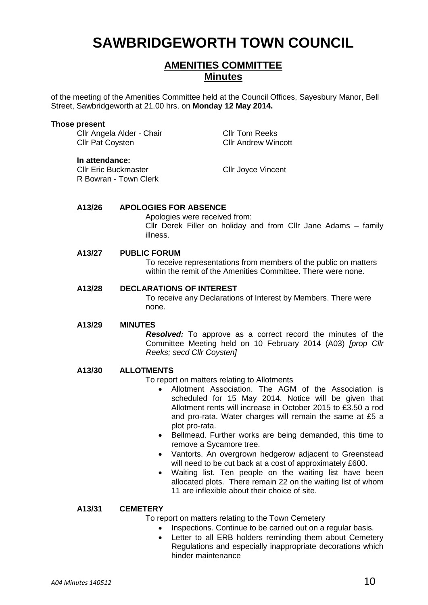# **SAWBRIDGEWORTH TOWN COUNCIL**

# **AMENITIES COMMITTEE Minutes**

of the meeting of the Amenities Committee held at the Council Offices, Sayesbury Manor, Bell Street, Sawbridgeworth at 21.00 hrs. on **Monday 12 May 2014.**

#### **Those present**

Cllr Angela Alder - Chair Cllr Tom Reeks **Cllr Pat Coysten Cllr Andrew Wincott** 

#### **In attendance:**

Cllr Eric Buckmaster Cllr Joyce Vincent R Bowran - Town Clerk

#### **A13/26 APOLOGIES FOR ABSENCE**

Apologies were received from: Cllr Derek Filler on holiday and from Cllr Jane Adams – family illness.

#### **A13/27 PUBLIC FORUM**

To receive representations from members of the public on matters within the remit of the Amenities Committee. There were none.

#### **A13/28 DECLARATIONS OF INTEREST**

To receive any Declarations of Interest by Members. There were none.

#### **A13/29 MINUTES**

*Resolved:* To approve as a correct record the minutes of the Committee Meeting held on 10 February 2014 (A03) *[prop Cllr Reeks; secd Cllr Coysten]*

#### **A13/30 ALLOTMENTS**

To report on matters relating to Allotments

- Allotment Association. The AGM of the Association is scheduled for 15 May 2014. Notice will be given that Allotment rents will increase in October 2015 to £3.50 a rod and pro-rata. Water charges will remain the same at £5 a plot pro-rata.
- Bellmead. Further works are being demanded, this time to remove a Sycamore tree.
- Vantorts. An overgrown hedgerow adjacent to Greenstead will need to be cut back at a cost of approximately £600.
- Waiting list. Ten people on the waiting list have been allocated plots. There remain 22 on the waiting list of whom 11 are inflexible about their choice of site.

#### **A13/31 CEMETERY**

To report on matters relating to the Town Cemetery

- Inspections. Continue to be carried out on a regular basis.
- Letter to all ERB holders reminding them about Cemetery Regulations and especially inappropriate decorations which hinder maintenance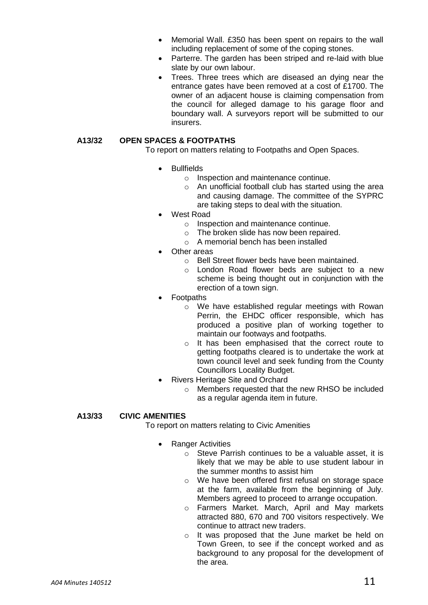- Memorial Wall. £350 has been spent on repairs to the wall including replacement of some of the coping stones.
- Parterre. The garden has been striped and re-laid with blue slate by our own labour.
- Trees. Three trees which are diseased an dying near the entrance gates have been removed at a cost of £1700. The owner of an adjacent house is claiming compensation from the council for alleged damage to his garage floor and boundary wall. A surveyors report will be submitted to our insurers.

## **A13/32 OPEN SPACES & FOOTPATHS**

To report on matters relating to Footpaths and Open Spaces.

- Bullfields
	- o Inspection and maintenance continue.
	- o An unofficial football club has started using the area and causing damage. The committee of the SYPRC are taking steps to deal with the situation.
- West Road
	- o Inspection and maintenance continue.
	- o The broken slide has now been repaired.
	- $\circ$  A memorial bench has been installed
- Other areas
	- o Bell Street flower beds have been maintained.
	- o London Road flower beds are subject to a new scheme is being thought out in conjunction with the erection of a town sign.
- Footpaths
	- o We have established regular meetings with Rowan Perrin, the EHDC officer responsible, which has produced a positive plan of working together to maintain our footways and footpaths.
	- o It has been emphasised that the correct route to getting footpaths cleared is to undertake the work at town council level and seek funding from the County Councillors Locality Budget.
- Rivers Heritage Site and Orchard
	- o Members requested that the new RHSO be included as a regular agenda item in future.

### **A13/33 CIVIC AMENITIES**

To report on matters relating to Civic Amenities

- Ranger Activities
	- o Steve Parrish continues to be a valuable asset, it is likely that we may be able to use student labour in the summer months to assist him
	- o We have been offered first refusal on storage space at the farm, available from the beginning of July. Members agreed to proceed to arrange occupation.
	- o Farmers Market. March, April and May markets attracted 880, 670 and 700 visitors respectively. We continue to attract new traders.
	- o It was proposed that the June market be held on Town Green, to see if the concept worked and as background to any proposal for the development of the area.